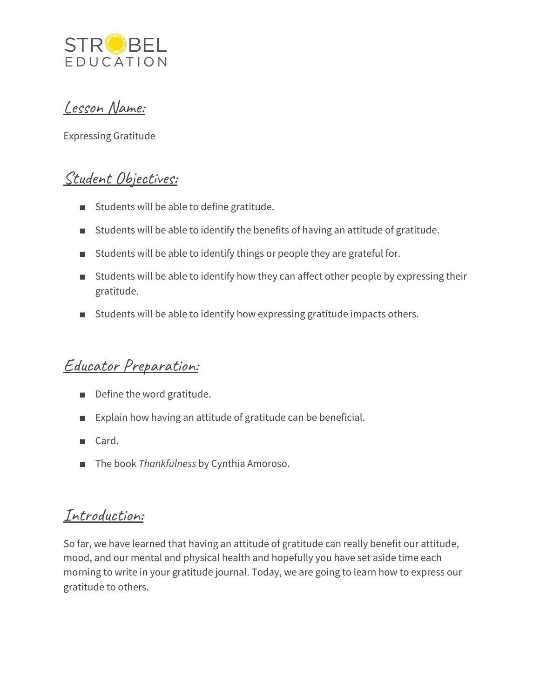

## Lesson Name:

Expressing Gratitude

# Student Objectives:

- Students will be able to define gratitude.
- Students will be able to identify the benefits of having an attitude of gratitude.
- Students will be able to identify things or people they are grateful for.
- Students will be able to identify how they can affect other people by expressing their gratitude.
- Students will be able to identify how expressing gratitude impacts others.

# Educator Preparation:

- Define the word gratitude.
- Explain how having an attitude of gratitude can be beneficial.
- Card.
- The book *Thankfulness* by Cynthia Amoroso.

## Introduction:

So far, we have learned that having an attitude of gratitude can really benefit our attitude, mood, and our mental and physical health and hopefully you have set aside time each morning to write in your gratitude journal. Today, we are going to learn how to express our gratitude to others.